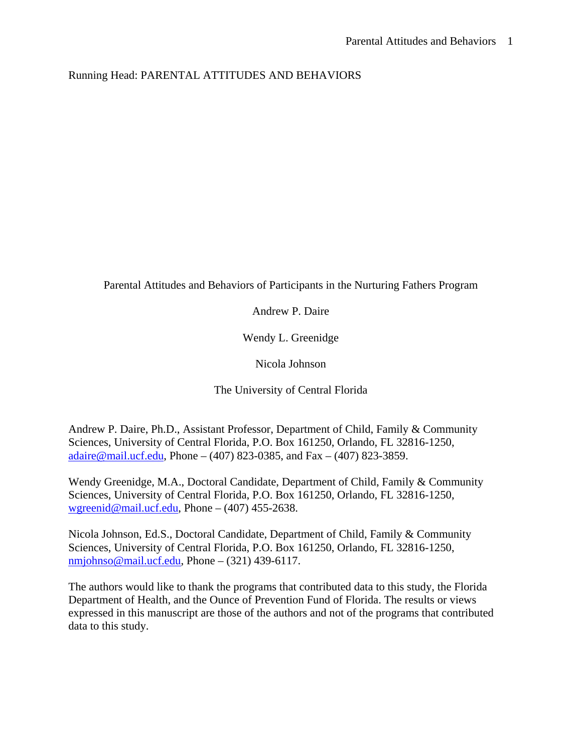# Running Head: PARENTAL ATTITUDES AND BEHAVIORS

Parental Attitudes and Behaviors of Participants in the Nurturing Fathers Program

Andrew P. Daire

Wendy L. Greenidge

Nicola Johnson

The University of Central Florida

Andrew P. Daire, Ph.D., Assistant Professor, Department of Child, Family & Community Sciences, University of Central Florida, P.O. Box 161250, Orlando, FL 32816-1250, adaire@mail.ucf.edu, Phone – (407) 823-0385, and Fax – (407) 823-3859.

Wendy Greenidge, M.A., Doctoral Candidate, Department of Child, Family & Community Sciences, University of Central Florida, P.O. Box 161250, Orlando, FL 32816-1250, wgreenid@mail.ucf.edu, Phone – (407) 455-2638.

Nicola Johnson, Ed.S., Doctoral Candidate, Department of Child, Family & Community Sciences, University of Central Florida, P.O. Box 161250, Orlando, FL 32816-1250, nmjohnso@mail.ucf.edu, Phone – (321) 439-6117.

The authors would like to thank the programs that contributed data to this study, the Florida Department of Health, and the Ounce of Prevention Fund of Florida. The results or views expressed in this manuscript are those of the authors and not of the programs that contributed data to this study.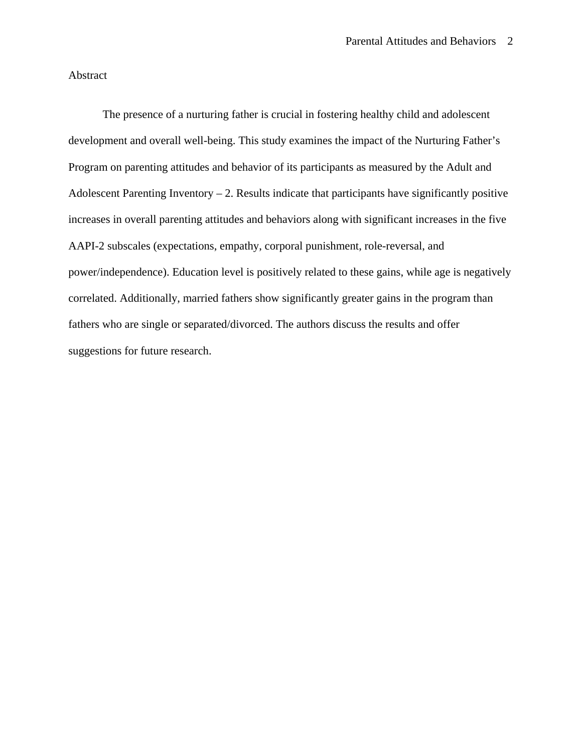Abstract

The presence of a nurturing father is crucial in fostering healthy child and adolescent development and overall well-being. This study examines the impact of the Nurturing Father's Program on parenting attitudes and behavior of its participants as measured by the Adult and Adolescent Parenting Inventory  $-2$ . Results indicate that participants have significantly positive increases in overall parenting attitudes and behaviors along with significant increases in the five AAPI-2 subscales (expectations, empathy, corporal punishment, role-reversal, and power/independence). Education level is positively related to these gains, while age is negatively correlated. Additionally, married fathers show significantly greater gains in the program than fathers who are single or separated/divorced. The authors discuss the results and offer suggestions for future research.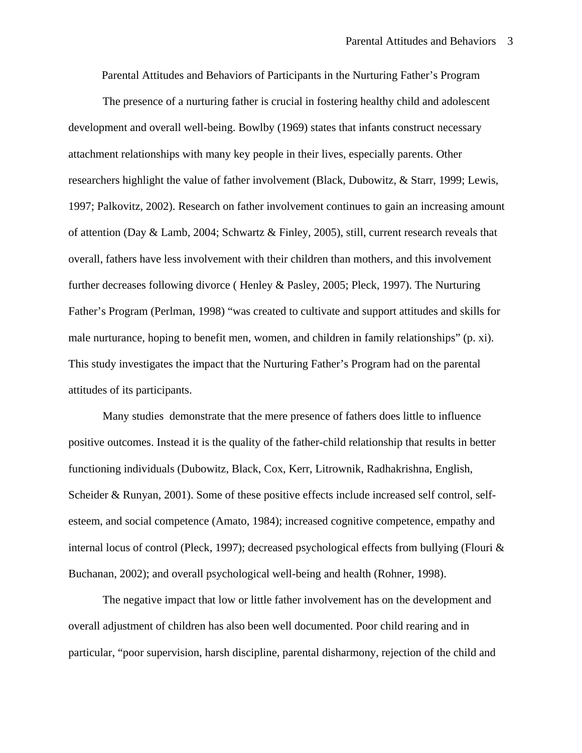Parental Attitudes and Behaviors of Participants in the Nurturing Father's Program

 The presence of a nurturing father is crucial in fostering healthy child and adolescent development and overall well-being. Bowlby (1969) states that infants construct necessary attachment relationships with many key people in their lives, especially parents. Other researchers highlight the value of father involvement (Black, Dubowitz, & Starr, 1999; Lewis, 1997; Palkovitz, 2002). Research on father involvement continues to gain an increasing amount of attention (Day & Lamb, 2004; Schwartz & Finley, 2005), still, current research reveals that overall, fathers have less involvement with their children than mothers, and this involvement further decreases following divorce ( Henley & Pasley, 2005; Pleck, 1997). The Nurturing Father's Program (Perlman, 1998) "was created to cultivate and support attitudes and skills for male nurturance, hoping to benefit men, women, and children in family relationships" (p. xi). This study investigates the impact that the Nurturing Father's Program had on the parental attitudes of its participants.

 Many studies demonstrate that the mere presence of fathers does little to influence positive outcomes. Instead it is the quality of the father-child relationship that results in better functioning individuals (Dubowitz, Black, Cox, Kerr, Litrownik, Radhakrishna, English, Scheider & Runyan, 2001). Some of these positive effects include increased self control, selfesteem, and social competence (Amato, 1984); increased cognitive competence, empathy and internal locus of control (Pleck, 1997); decreased psychological effects from bullying (Flouri & Buchanan, 2002); and overall psychological well-being and health (Rohner, 1998).

 The negative impact that low or little father involvement has on the development and overall adjustment of children has also been well documented. Poor child rearing and in particular, "poor supervision, harsh discipline, parental disharmony, rejection of the child and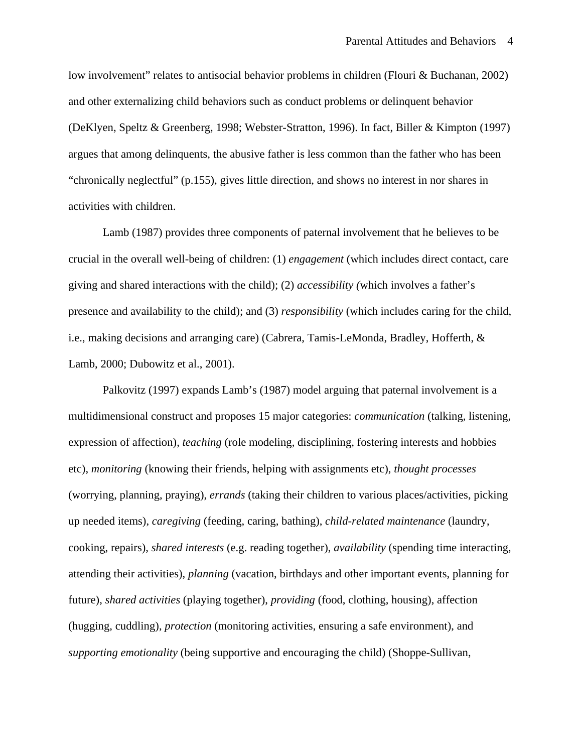low involvement" relates to antisocial behavior problems in children (Flouri & Buchanan, 2002) and other externalizing child behaviors such as conduct problems or delinquent behavior (DeKlyen, Speltz & Greenberg, 1998; Webster-Stratton, 1996). In fact, Biller & Kimpton (1997) argues that among delinquents, the abusive father is less common than the father who has been "chronically neglectful" (p.155), gives little direction, and shows no interest in nor shares in activities with children.

Lamb (1987) provides three components of paternal involvement that he believes to be crucial in the overall well-being of children: (1) *engagement* (which includes direct contact, care giving and shared interactions with the child); (2) *accessibility (*which involves a father's presence and availability to the child); and (3) *responsibility* (which includes caring for the child, i.e., making decisions and arranging care) (Cabrera, Tamis-LeMonda, Bradley, Hofferth, & Lamb, 2000; Dubowitz et al., 2001).

Palkovitz (1997) expands Lamb's (1987) model arguing that paternal involvement is a multidimensional construct and proposes 15 major categories: *communication* (talking, listening, expression of affection), *teaching* (role modeling, disciplining, fostering interests and hobbies etc), *monitoring* (knowing their friends, helping with assignments etc), *thought processes* (worrying, planning, praying), *errands* (taking their children to various places/activities, picking up needed items), *caregiving* (feeding, caring, bathing), *child-related maintenance* (laundry, cooking, repairs), *shared interests* (e.g. reading together), *availability* (spending time interacting, attending their activities), *planning* (vacation, birthdays and other important events, planning for future), *shared activities* (playing together), *providing* (food, clothing, housing), affection (hugging, cuddling), *protection* (monitoring activities, ensuring a safe environment), and *supporting emotionality* (being supportive and encouraging the child) (Shoppe-Sullivan,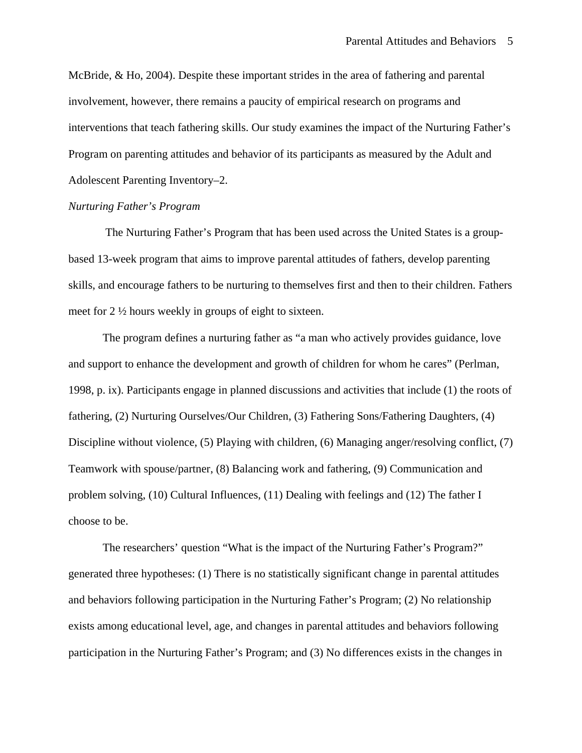McBride, & Ho, 2004). Despite these important strides in the area of fathering and parental involvement, however, there remains a paucity of empirical research on programs and interventions that teach fathering skills. Our study examines the impact of the Nurturing Father's Program on parenting attitudes and behavior of its participants as measured by the Adult and Adolescent Parenting Inventory–2.

# *Nurturing Father's Program*

 The Nurturing Father's Program that has been used across the United States is a groupbased 13-week program that aims to improve parental attitudes of fathers, develop parenting skills, and encourage fathers to be nurturing to themselves first and then to their children. Fathers meet for 2 ½ hours weekly in groups of eight to sixteen.

The program defines a nurturing father as "a man who actively provides guidance, love and support to enhance the development and growth of children for whom he cares" (Perlman, 1998, p. ix). Participants engage in planned discussions and activities that include (1) the roots of fathering, (2) Nurturing Ourselves/Our Children, (3) Fathering Sons/Fathering Daughters, (4) Discipline without violence, (5) Playing with children, (6) Managing anger/resolving conflict, (7) Teamwork with spouse/partner, (8) Balancing work and fathering, (9) Communication and problem solving, (10) Cultural Influences, (11) Dealing with feelings and (12) The father I choose to be.

The researchers' question "What is the impact of the Nurturing Father's Program?" generated three hypotheses: (1) There is no statistically significant change in parental attitudes and behaviors following participation in the Nurturing Father's Program; (2) No relationship exists among educational level, age, and changes in parental attitudes and behaviors following participation in the Nurturing Father's Program; and (3) No differences exists in the changes in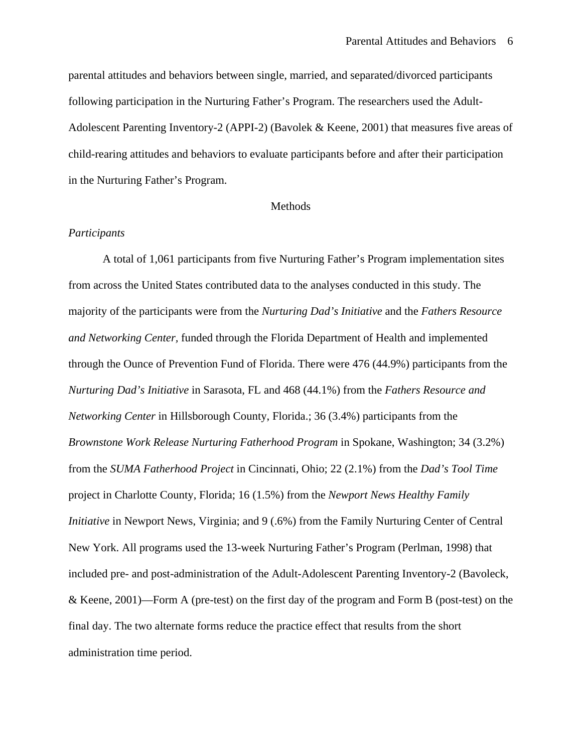parental attitudes and behaviors between single, married, and separated/divorced participants following participation in the Nurturing Father's Program. The researchers used the Adult-Adolescent Parenting Inventory-2 (APPI-2) (Bavolek & Keene, 2001) that measures five areas of child-rearing attitudes and behaviors to evaluate participants before and after their participation in the Nurturing Father's Program.

# Methods

# *Participants*

A total of 1,061 participants from five Nurturing Father's Program implementation sites from across the United States contributed data to the analyses conducted in this study. The majority of the participants were from the *Nurturing Dad's Initiative* and the *Fathers Resource and Networking Center,* funded through the Florida Department of Health and implemented through the Ounce of Prevention Fund of Florida. There were 476 (44.9%) participants from the *Nurturing Dad's Initiative* in Sarasota, FL and 468 (44.1%) from the *Fathers Resource and Networking Center* in Hillsborough County, Florida.; 36 (3.4%) participants from the *Brownstone Work Release Nurturing Fatherhood Program* in Spokane, Washington; 34 (3.2%) from the *SUMA Fatherhood Project* in Cincinnati, Ohio; 22 (2.1%) from the *Dad's Tool Time* project in Charlotte County, Florida; 16 (1.5%) from the *Newport News Healthy Family Initiative* in Newport News, Virginia; and 9 (.6%) from the Family Nurturing Center of Central New York. All programs used the 13-week Nurturing Father's Program (Perlman, 1998) that included pre- and post-administration of the Adult-Adolescent Parenting Inventory-2 (Bavoleck, & Keene, 2001)—Form A (pre-test) on the first day of the program and Form B (post-test) on the final day. The two alternate forms reduce the practice effect that results from the short administration time period.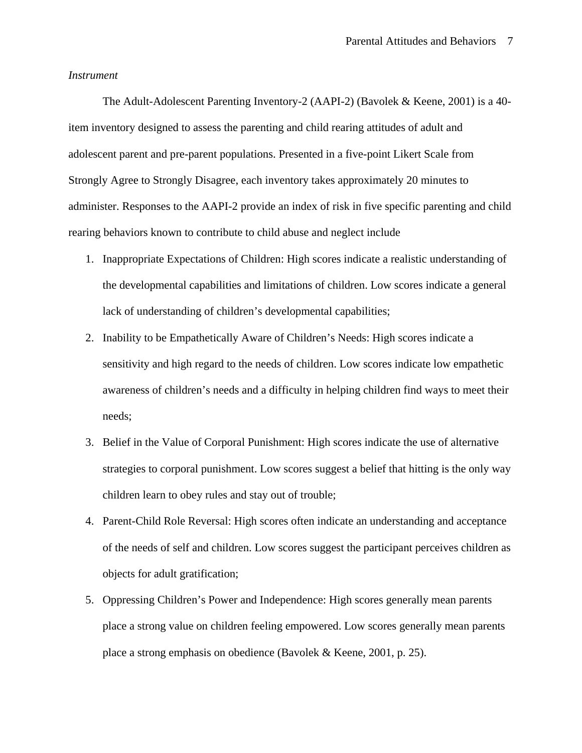# *Instrument*

 The Adult-Adolescent Parenting Inventory-2 (AAPI-2) (Bavolek & Keene, 2001) is a 40 item inventory designed to assess the parenting and child rearing attitudes of adult and adolescent parent and pre-parent populations. Presented in a five-point Likert Scale from Strongly Agree to Strongly Disagree, each inventory takes approximately 20 minutes to administer. Responses to the AAPI-2 provide an index of risk in five specific parenting and child rearing behaviors known to contribute to child abuse and neglect include

- 1. Inappropriate Expectations of Children: High scores indicate a realistic understanding of the developmental capabilities and limitations of children. Low scores indicate a general lack of understanding of children's developmental capabilities;
- 2. Inability to be Empathetically Aware of Children's Needs: High scores indicate a sensitivity and high regard to the needs of children. Low scores indicate low empathetic awareness of children's needs and a difficulty in helping children find ways to meet their needs;
- 3. Belief in the Value of Corporal Punishment: High scores indicate the use of alternative strategies to corporal punishment. Low scores suggest a belief that hitting is the only way children learn to obey rules and stay out of trouble;
- 4. Parent-Child Role Reversal: High scores often indicate an understanding and acceptance of the needs of self and children. Low scores suggest the participant perceives children as objects for adult gratification;
- 5. Oppressing Children's Power and Independence: High scores generally mean parents place a strong value on children feeling empowered. Low scores generally mean parents place a strong emphasis on obedience (Bavolek & Keene, 2001, p. 25).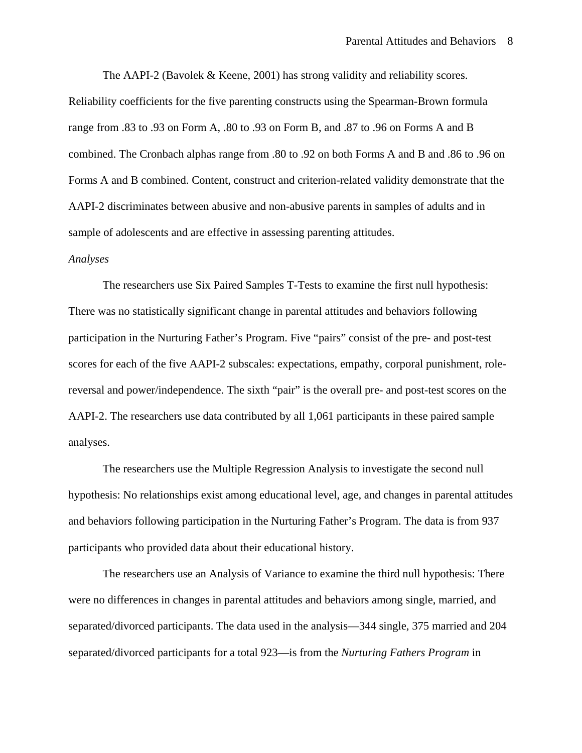The AAPI-2 (Bavolek & Keene, 2001) has strong validity and reliability scores. Reliability coefficients for the five parenting constructs using the Spearman-Brown formula range from .83 to .93 on Form A, .80 to .93 on Form B, and .87 to .96 on Forms A and B combined. The Cronbach alphas range from .80 to .92 on both Forms A and B and .86 to .96 on Forms A and B combined. Content, construct and criterion-related validity demonstrate that the AAPI-2 discriminates between abusive and non-abusive parents in samples of adults and in sample of adolescents and are effective in assessing parenting attitudes.

#### *Analyses*

The researchers use Six Paired Samples T-Tests to examine the first null hypothesis: There was no statistically significant change in parental attitudes and behaviors following participation in the Nurturing Father's Program. Five "pairs" consist of the pre- and post-test scores for each of the five AAPI-2 subscales: expectations, empathy, corporal punishment, rolereversal and power/independence. The sixth "pair" is the overall pre- and post-test scores on the AAPI-2. The researchers use data contributed by all 1,061 participants in these paired sample analyses.

The researchers use the Multiple Regression Analysis to investigate the second null hypothesis: No relationships exist among educational level, age, and changes in parental attitudes and behaviors following participation in the Nurturing Father's Program. The data is from 937 participants who provided data about their educational history.

The researchers use an Analysis of Variance to examine the third null hypothesis: There were no differences in changes in parental attitudes and behaviors among single, married, and separated/divorced participants. The data used in the analysis—344 single, 375 married and 204 separated/divorced participants for a total 923—is from the *Nurturing Fathers Program* in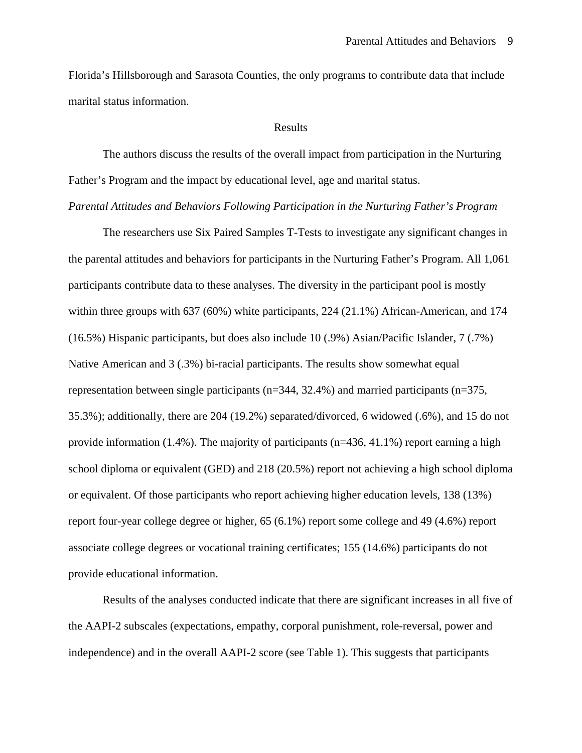Florida's Hillsborough and Sarasota Counties, the only programs to contribute data that include marital status information.

#### Results

 The authors discuss the results of the overall impact from participation in the Nurturing Father's Program and the impact by educational level, age and marital status.

*Parental Attitudes and Behaviors Following Participation in the Nurturing Father's Program* 

 The researchers use Six Paired Samples T-Tests to investigate any significant changes in the parental attitudes and behaviors for participants in the Nurturing Father's Program. All 1,061 participants contribute data to these analyses. The diversity in the participant pool is mostly within three groups with 637 (60%) white participants, 224 (21.1%) African-American, and 174 (16.5%) Hispanic participants, but does also include 10 (.9%) Asian/Pacific Islander, 7 (.7%) Native American and 3 (.3%) bi-racial participants. The results show somewhat equal representation between single participants (n=344, 32.4%) and married participants (n=375, 35.3%); additionally, there are 204 (19.2%) separated/divorced, 6 widowed (.6%), and 15 do not provide information  $(1.4\%)$ . The majority of participants  $(n=436, 41.1\%)$  report earning a high school diploma or equivalent (GED) and 218 (20.5%) report not achieving a high school diploma or equivalent. Of those participants who report achieving higher education levels, 138 (13%) report four-year college degree or higher, 65 (6.1%) report some college and 49 (4.6%) report associate college degrees or vocational training certificates; 155 (14.6%) participants do not provide educational information.

Results of the analyses conducted indicate that there are significant increases in all five of the AAPI-2 subscales (expectations, empathy, corporal punishment, role-reversal, power and independence) and in the overall AAPI-2 score (see Table 1). This suggests that participants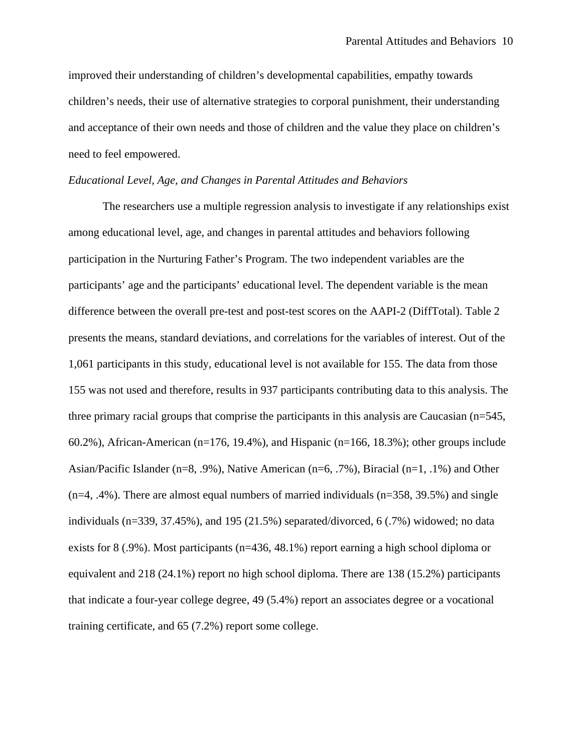improved their understanding of children's developmental capabilities, empathy towards children's needs, their use of alternative strategies to corporal punishment, their understanding and acceptance of their own needs and those of children and the value they place on children's need to feel empowered.

# *Educational Level, Age, and Changes in Parental Attitudes and Behaviors*

 The researchers use a multiple regression analysis to investigate if any relationships exist among educational level, age, and changes in parental attitudes and behaviors following participation in the Nurturing Father's Program. The two independent variables are the participants' age and the participants' educational level. The dependent variable is the mean difference between the overall pre-test and post-test scores on the AAPI-2 (DiffTotal). Table 2 presents the means, standard deviations, and correlations for the variables of interest. Out of the 1,061 participants in this study, educational level is not available for 155. The data from those 155 was not used and therefore, results in 937 participants contributing data to this analysis. The three primary racial groups that comprise the participants in this analysis are Caucasian (n=545, 60.2%), African-American (n=176, 19.4%), and Hispanic (n=166, 18.3%); other groups include Asian/Pacific Islander (n=8, .9%), Native American (n=6, .7%), Biracial (n=1, .1%) and Other  $(n=4, 0.4\%)$ . There are almost equal numbers of married individuals  $(n=358, 39.5\%)$  and single individuals (n=339, 37.45%), and 195 (21.5%) separated/divorced, 6 (.7%) widowed; no data exists for 8 (.9%). Most participants (n=436, 48.1%) report earning a high school diploma or equivalent and 218 (24.1%) report no high school diploma. There are 138 (15.2%) participants that indicate a four-year college degree, 49 (5.4%) report an associates degree or a vocational training certificate, and 65 (7.2%) report some college.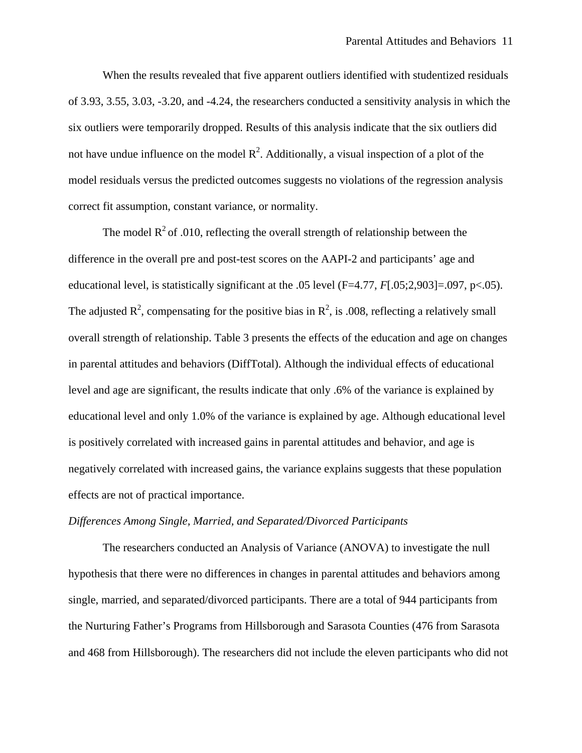When the results revealed that five apparent outliers identified with studentized residuals of 3.93, 3.55, 3.03, -3.20, and -4.24, the researchers conducted a sensitivity analysis in which the six outliers were temporarily dropped. Results of this analysis indicate that the six outliers did not have undue influence on the model  $\mathbb{R}^2$ . Additionally, a visual inspection of a plot of the model residuals versus the predicted outcomes suggests no violations of the regression analysis correct fit assumption, constant variance, or normality.

The model  $R^2$  of .010, reflecting the overall strength of relationship between the difference in the overall pre and post-test scores on the AAPI-2 and participants' age and educational level, is statistically significant at the .05 level (F=4.77, *F*[.05;2,903]=.097, p<.05). The adjusted  $\mathbb{R}^2$ , compensating for the positive bias in  $\mathbb{R}^2$ , is .008, reflecting a relatively small overall strength of relationship. Table 3 presents the effects of the education and age on changes in parental attitudes and behaviors (DiffTotal). Although the individual effects of educational level and age are significant, the results indicate that only .6% of the variance is explained by educational level and only 1.0% of the variance is explained by age. Although educational level is positively correlated with increased gains in parental attitudes and behavior, and age is negatively correlated with increased gains, the variance explains suggests that these population effects are not of practical importance.

# *Differences Among Single, Married, and Separated/Divorced Participants*

The researchers conducted an Analysis of Variance (ANOVA) to investigate the null hypothesis that there were no differences in changes in parental attitudes and behaviors among single, married, and separated/divorced participants. There are a total of 944 participants from the Nurturing Father's Programs from Hillsborough and Sarasota Counties (476 from Sarasota and 468 from Hillsborough). The researchers did not include the eleven participants who did not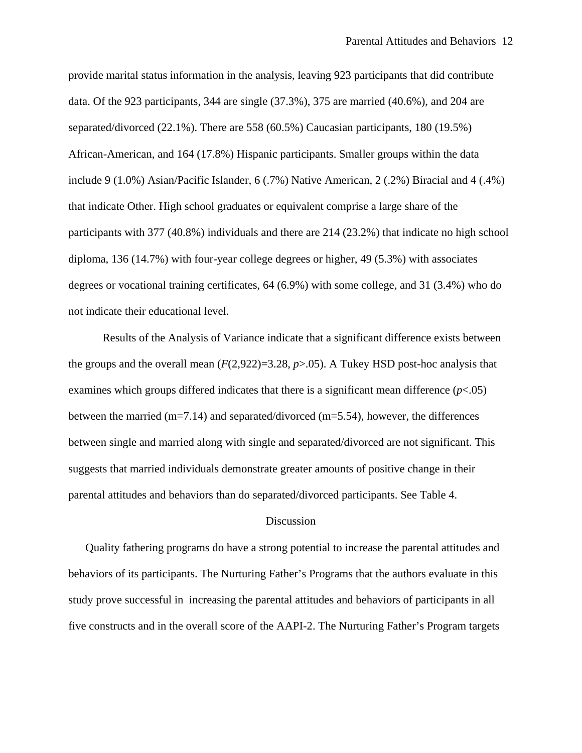provide marital status information in the analysis, leaving 923 participants that did contribute data. Of the 923 participants, 344 are single (37.3%), 375 are married (40.6%), and 204 are separated/divorced (22.1%). There are 558 (60.5%) Caucasian participants, 180 (19.5%) African-American, and 164 (17.8%) Hispanic participants. Smaller groups within the data include 9 (1.0%) Asian/Pacific Islander, 6 (.7%) Native American, 2 (.2%) Biracial and 4 (.4%) that indicate Other. High school graduates or equivalent comprise a large share of the participants with 377 (40.8%) individuals and there are 214 (23.2%) that indicate no high school diploma, 136 (14.7%) with four-year college degrees or higher, 49 (5.3%) with associates degrees or vocational training certificates, 64 (6.9%) with some college, and 31 (3.4%) who do not indicate their educational level.

Results of the Analysis of Variance indicate that a significant difference exists between the groups and the overall mean  $(F(2,922)=3.28, p>0.05)$ . A Tukey HSD post-hoc analysis that examines which groups differed indicates that there is a significant mean difference  $(p<.05)$ between the married (m=7.14) and separated/divorced (m=5.54), however, the differences between single and married along with single and separated/divorced are not significant. This suggests that married individuals demonstrate greater amounts of positive change in their parental attitudes and behaviors than do separated/divorced participants. See Table 4.

# Discussion

Quality fathering programs do have a strong potential to increase the parental attitudes and behaviors of its participants. The Nurturing Father's Programs that the authors evaluate in this study prove successful in increasing the parental attitudes and behaviors of participants in all five constructs and in the overall score of the AAPI-2. The Nurturing Father's Program targets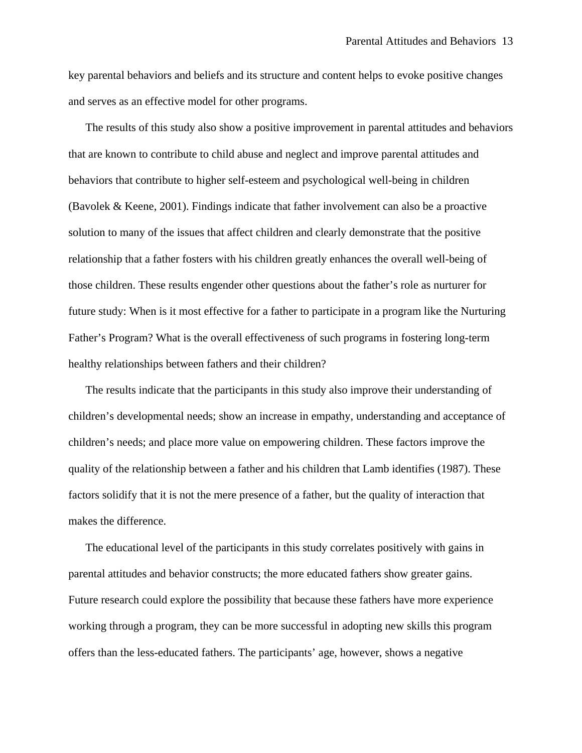key parental behaviors and beliefs and its structure and content helps to evoke positive changes and serves as an effective model for other programs.

The results of this study also show a positive improvement in parental attitudes and behaviors that are known to contribute to child abuse and neglect and improve parental attitudes and behaviors that contribute to higher self-esteem and psychological well-being in children (Bavolek & Keene, 2001). Findings indicate that father involvement can also be a proactive solution to many of the issues that affect children and clearly demonstrate that the positive relationship that a father fosters with his children greatly enhances the overall well-being of those children. These results engender other questions about the father's role as nurturer for future study: When is it most effective for a father to participate in a program like the Nurturing Father's Program? What is the overall effectiveness of such programs in fostering long-term healthy relationships between fathers and their children?

The results indicate that the participants in this study also improve their understanding of children's developmental needs; show an increase in empathy, understanding and acceptance of children's needs; and place more value on empowering children. These factors improve the quality of the relationship between a father and his children that Lamb identifies (1987). These factors solidify that it is not the mere presence of a father, but the quality of interaction that makes the difference.

The educational level of the participants in this study correlates positively with gains in parental attitudes and behavior constructs; the more educated fathers show greater gains. Future research could explore the possibility that because these fathers have more experience working through a program, they can be more successful in adopting new skills this program offers than the less-educated fathers. The participants' age, however, shows a negative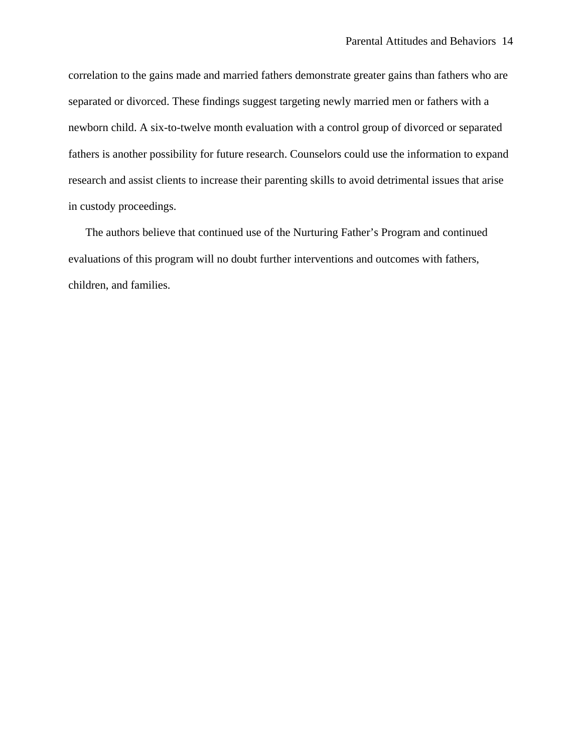correlation to the gains made and married fathers demonstrate greater gains than fathers who are separated or divorced. These findings suggest targeting newly married men or fathers with a newborn child. A six-to-twelve month evaluation with a control group of divorced or separated fathers is another possibility for future research. Counselors could use the information to expand research and assist clients to increase their parenting skills to avoid detrimental issues that arise in custody proceedings.

The authors believe that continued use of the Nurturing Father's Program and continued evaluations of this program will no doubt further interventions and outcomes with fathers, children, and families.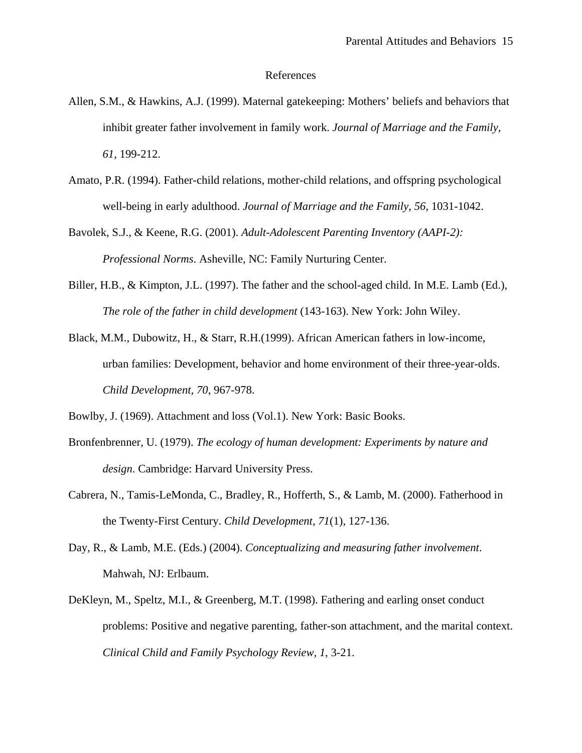#### References

- Allen, S.M., & Hawkins, A.J. (1999). Maternal gatekeeping: Mothers' beliefs and behaviors that inhibit greater father involvement in family work. *Journal of Marriage and the Family, 61*, 199-212.
- Amato, P.R. (1994). Father-child relations, mother-child relations, and offspring psychological well-being in early adulthood. *Journal of Marriage and the Family, 56*, 1031-1042.
- Bavolek, S.J., & Keene, R.G. (2001). *Adult-Adolescent Parenting Inventory (AAPI-2): Professional Norms*. Asheville, NC: Family Nurturing Center.
- Biller, H.B., & Kimpton, J.L. (1997). The father and the school-aged child. In M.E. Lamb (Ed.), *The role of the father in child development* (143-163). New York: John Wiley.
- Black, M.M., Dubowitz, H., & Starr, R.H.(1999). African American fathers in low-income, urban families: Development, behavior and home environment of their three-year-olds. *Child Development, 70*, 967-978.
- Bowlby, J. (1969). Attachment and loss (Vol.1). New York: Basic Books.
- Bronfenbrenner, U. (1979). *The ecology of human development: Experiments by nature and design*. Cambridge: Harvard University Press.
- Cabrera, N., Tamis-LeMonda, C., Bradley, R., Hofferth, S., & Lamb, M. (2000). Fatherhood in the Twenty-First Century. *Child Development*, *71*(1), 127-136.
- Day, R., & Lamb, M.E. (Eds.) (2004). *Conceptualizing and measuring father involvement*. Mahwah, NJ: Erlbaum.
- DeKleyn, M., Speltz, M.I., & Greenberg, M.T. (1998). Fathering and earling onset conduct problems: Positive and negative parenting, father-son attachment, and the marital context. *Clinical Child and Family Psychology Review, 1*, 3-21.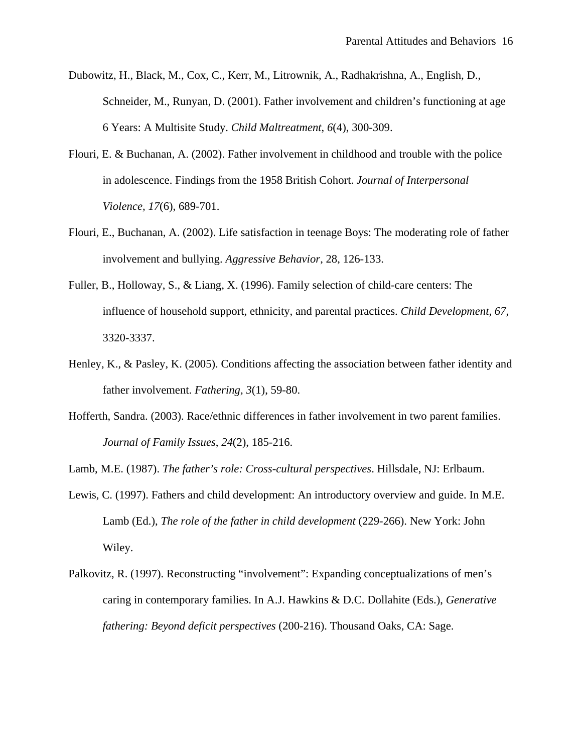- Dubowitz, H., Black, M., Cox, C., Kerr, M., Litrownik, A., Radhakrishna, A., English, D., Schneider, M., Runyan, D. (2001). Father involvement and children's functioning at age 6 Years: A Multisite Study. *Child Maltreatment*, *6*(4), 300-309.
- Flouri, E. & Buchanan, A. (2002). Father involvement in childhood and trouble with the police in adolescence. Findings from the 1958 British Cohort. *Journal of Interpersonal Violence, 17*(6), 689-701.
- Flouri, E., Buchanan, A. (2002). Life satisfaction in teenage Boys: The moderating role of father involvement and bullying. *Aggressive Behavior*, 28, 126-133.
- Fuller, B., Holloway, S., & Liang, X. (1996). Family selection of child-care centers: The influence of household support, ethnicity, and parental practices. *Child Development, 67*, 3320-3337.
- Henley, K., & Pasley, K. (2005). Conditions affecting the association between father identity and father involvement. *Fathering, 3*(1), 59-80.
- Hofferth, Sandra. (2003). Race/ethnic differences in father involvement in two parent families. *Journal of Family Issues*, *24*(2), 185-216.

Lamb, M.E. (1987). *The father's role: Cross-cultural perspectives*. Hillsdale, NJ: Erlbaum.

- Lewis, C. (1997). Fathers and child development: An introductory overview and guide. In M.E. Lamb (Ed.), *The role of the father in child development* (229-266). New York: John Wiley.
- Palkovitz, R. (1997). Reconstructing "involvement": Expanding conceptualizations of men's caring in contemporary families. In A.J. Hawkins & D.C. Dollahite (Eds.), *Generative fathering: Beyond deficit perspectives* (200-216). Thousand Oaks, CA: Sage.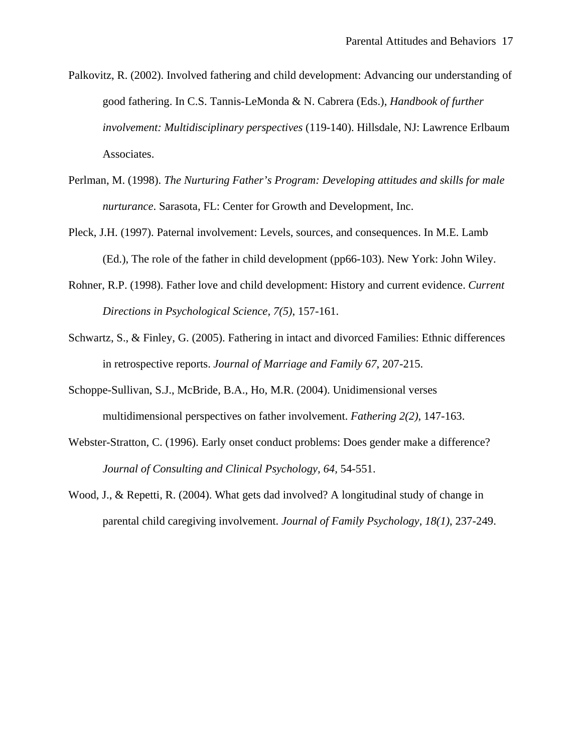- Palkovitz, R. (2002). Involved fathering and child development: Advancing our understanding of good fathering. In C.S. Tannis-LeMonda & N. Cabrera (Eds.), *Handbook of further involvement: Multidisciplinary perspectives* (119-140). Hillsdale, NJ: Lawrence Erlbaum Associates.
- Perlman, M. (1998). *The Nurturing Father's Program: Developing attitudes and skills for male nurturance*. Sarasota, FL: Center for Growth and Development, Inc.
- Pleck, J.H. (1997). Paternal involvement: Levels, sources, and consequences. In M.E. Lamb (Ed.), The role of the father in child development (pp66-103). New York: John Wiley.
- Rohner, R.P. (1998). Father love and child development: History and current evidence. *Current Directions in Psychological Science, 7(5)*, 157-161.
- Schwartz, S., & Finley, G. (2005). Fathering in intact and divorced Families: Ethnic differences in retrospective reports. *Journal of Marriage and Family 67*, 207-215.
- Schoppe-Sullivan, S.J., McBride, B.A., Ho, M.R. (2004). Unidimensional verses multidimensional perspectives on father involvement. *Fathering 2(2),* 147-163.
- Webster-Stratton, C. (1996). Early onset conduct problems: Does gender make a difference? *Journal of Consulting and Clinical Psychology, 64,* 54-551.
- Wood, J., & Repetti, R. (2004). What gets dad involved? A longitudinal study of change in parental child caregiving involvement. *Journal of Family Psychology, 18(1)*, 237-249.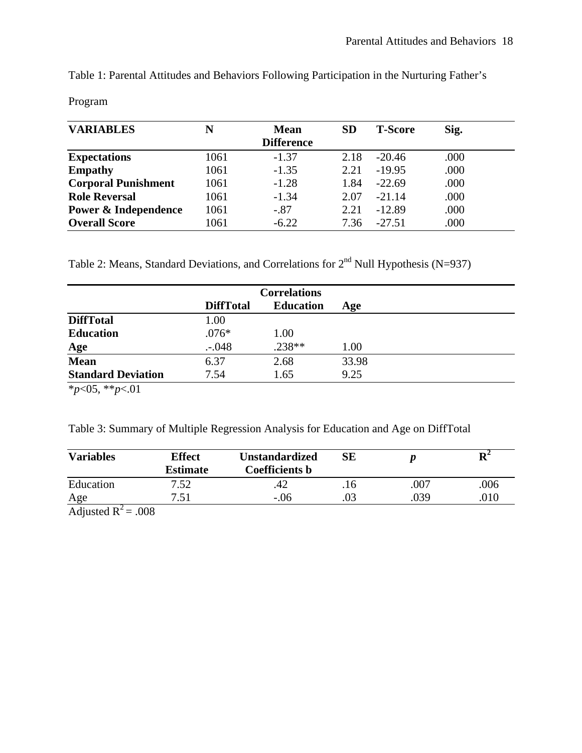Table 1: Parental Attitudes and Behaviors Following Participation in the Nurturing Father's

Program

| <b>VARIABLES</b>           | N    | <b>Mean</b>       | <b>SD</b> | <b>T-Score</b> | Sig. |  |
|----------------------------|------|-------------------|-----------|----------------|------|--|
|                            |      | <b>Difference</b> |           |                |      |  |
| <b>Expectations</b>        | 1061 | $-1.37$           | 2.18      | $-20.46$       | .000 |  |
| <b>Empathy</b>             | 1061 | $-1.35$           | 2.21      | $-19.95$       | .000 |  |
| <b>Corporal Punishment</b> | 1061 | $-1.28$           | 1.84      | $-22.69$       | .000 |  |
| <b>Role Reversal</b>       | 1061 | $-1.34$           | 2.07      | $-21.14$       | .000 |  |
| Power & Independence       | 1061 | $-.87$            | 2.21      | $-12.89$       | .000 |  |
| <b>Overall Score</b>       | 1061 | $-6.22$           | 7.36      | $-27.51$       | .000 |  |

Table 2: Means, Standard Deviations, and Correlations for  $2<sup>nd</sup>$  Null Hypothesis (N=937)

|                           |                  | <b>Correlations</b> |       |  |
|---------------------------|------------------|---------------------|-------|--|
|                           | <b>DiffTotal</b> | <b>Education</b>    | Age   |  |
| <b>DiffTotal</b>          | 1.00             |                     |       |  |
| <b>Education</b>          | $.076*$          | 1.00                |       |  |
| <u>Age</u>                | .048             | $.238**$            | 1.00  |  |
| <b>Mean</b>               | 6.37             | 2.68                | 33.98 |  |
| <b>Standard Deviation</b> | 7.54             | 1.65                | 9.25  |  |
| .                         |                  |                     |       |  |

\**p*<05, \*\**p*<.01

Table 3: Summary of Multiple Regression Analysis for Education and Age on DiffTotal

| <b>Variables</b> | <b>Effect</b><br>Estimate | <b>Unstandardized</b><br><b>Coefficients b</b> | SЕ |      | $\mathbf{R}^2$ |
|------------------|---------------------------|------------------------------------------------|----|------|----------------|
| Education        | 7.52                      | 42                                             |    | .007 | .006           |
| Age              | 7.51                      | $-.06$                                         |    | .039 | .010           |
| .<br>$\sim$      | $\sim$ $\sim$ $\sim$      |                                                |    |      |                |

Adjusted  $R^2$  = .008